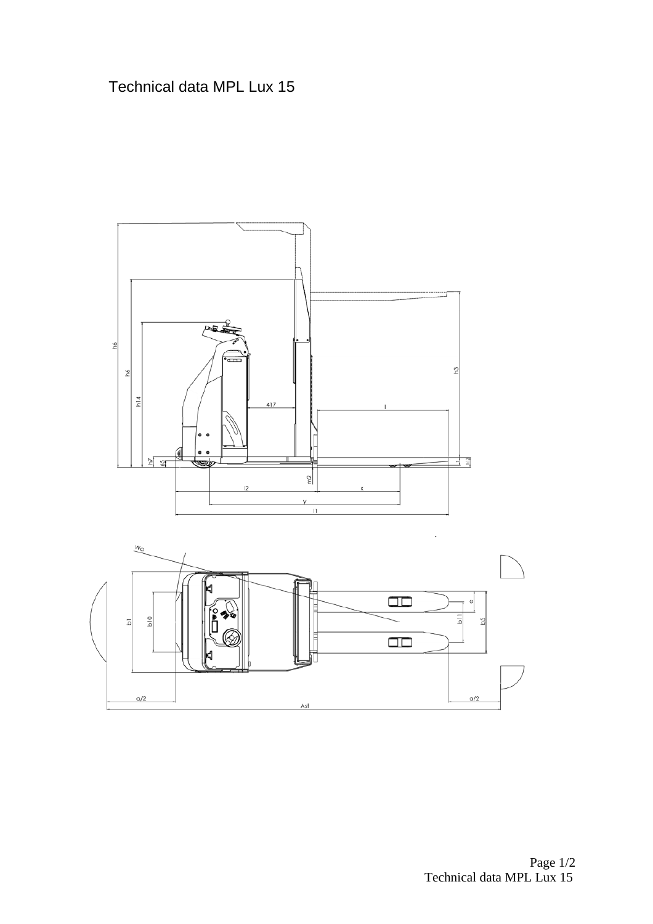## Technical data MPL Lux 15

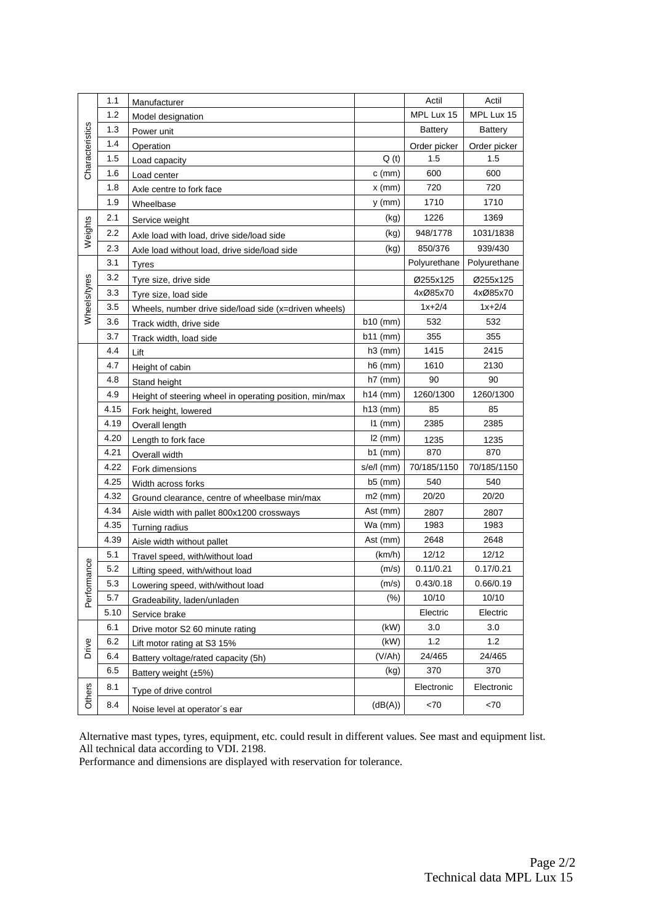|                            | 1.1  | Manufacturer                                            |              | Actil          | Actil          |
|----------------------------|------|---------------------------------------------------------|--------------|----------------|----------------|
| Characteristics<br>Weights | 1.2  | Model designation                                       |              | MPL Lux 15     | MPL Lux 15     |
|                            | 1.3  | Power unit                                              |              | <b>Battery</b> | <b>Battery</b> |
|                            | 1.4  | Operation                                               |              | Order picker   | Order picker   |
|                            | 1.5  | Load capacity                                           | Q(t)         | 1.5            | 1.5            |
|                            | 1.6  | Load center                                             | $c$ (mm)     | 600            | 600            |
|                            | 1.8  | Axle centre to fork face                                | $x \, (mm)$  | 720            | 720            |
|                            | 1.9  | Wheelbase                                               | $y$ (mm)     | 1710           | 1710           |
|                            | 2.1  | Service weight                                          | (kg)         | 1226           | 1369           |
|                            | 2.2  | Axle load with load, drive side/load side               | (kg)         | 948/1778       | 1031/1838      |
| Wheels/tyres               | 2.3  | Axle load without load, drive side/load side            | (kg)         | 850/376        | 939/430        |
|                            | 3.1  | Tyres                                                   |              | Polyurethane   | Polyurethane   |
|                            | 3.2  | Tyre size, drive side                                   |              | Ø255x125       | Ø255x125       |
|                            | 3.3  | Tyre size, load side                                    |              | 4xØ85x70       | 4xØ85x70       |
|                            | 3.5  | Wheels, number drive side/load side (x=driven wheels)   |              | $1x + 2/4$     | $1x+2/4$       |
|                            | 3.6  | Track width, drive side                                 | $b10$ (mm)   | 532            | 532            |
|                            | 3.7  | Track width, load side                                  | $b11$ (mm)   | 355            | 355            |
|                            | 4.4  | Lift                                                    | $h3$ (mm)    | 1415           | 2415           |
|                            | 4.7  | Height of cabin                                         | $h6$ (mm)    | 1610           | 2130           |
|                            | 4.8  | Stand height                                            | $h7$ (mm)    | 90             | 90             |
|                            | 4.9  | Height of steering wheel in operating position, min/max | $h14$ (mm)   | 1260/1300      | 1260/1300      |
|                            | 4.15 | Fork height, lowered                                    | $h13$ (mm)   | 85             | 85             |
|                            | 4.19 | Overall length                                          | $11$ (mm)    | 2385           | 2385           |
|                            | 4.20 | Length to fork face                                     | $12 \, (mm)$ | 1235           | 1235           |
|                            | 4.21 | Overall width                                           | $b1$ (mm)    | 870            | 870            |
|                            | 4.22 | Fork dimensions                                         | s/e/l (mm)   | 70/185/1150    | 70/185/1150    |
|                            | 4.25 | Width across forks                                      | $b5$ (mm)    | 540            | 540            |
|                            | 4.32 | Ground clearance, centre of wheelbase min/max           | $m2$ (mm)    | 20/20          | 20/20          |
|                            | 4.34 | Aisle width with pallet 800x1200 crossways              | Ast (mm)     | 2807           | 2807           |
|                            | 4.35 | Turning radius                                          | Wa (mm)      | 1983           | 1983           |
|                            | 4.39 | Aisle width without pallet                              | Ast (mm)     | 2648           | 2648           |
|                            | 5.1  | Travel speed, with/without load                         | (km/h)       | 12/12          | 12/12          |
| mance                      | 5.2  | Lifting speed, with/without load                        | (m/s)        | 0.11/0.21      | 0.17/0.21      |
|                            | 5.3  | Lowering speed, with/without load                       | (m/s)        | 0.43/0.18      | 0.66/0.19      |
| Perfor                     | 5.7  | Gradeability, laden/unladen                             | (%)          | 10/10          | 10/10          |
| Drive                      | 5.10 | Service brake                                           |              | Electric       | Electric       |
|                            | 6.1  | Drive motor S2 60 minute rating                         | (kW)         | 3.0            | 3.0            |
|                            | 6.2  | Lift motor rating at S3 15%                             | (kW)         | 1.2            | 1.2            |
|                            | 6.4  | Battery voltage/rated capacity (5h)                     | (V/Ah)       | 24/465         | 24/465         |
|                            | 6.5  | Battery weight $(\pm 5\%)$                              | (kg)         | 370            | 370            |
| Others                     | 8.1  | Type of drive control                                   |              | Electronic     | Electronic     |
|                            | 8.4  | Noise level at operator's ear                           | (dB(A))      | <70            | <70            |

Alternative mast types, tyres, equipment, etc. could result in different values. See mast and equipment list. All technical data according to VDI. 2198.

Performance and dimensions are displayed with reservation for tolerance.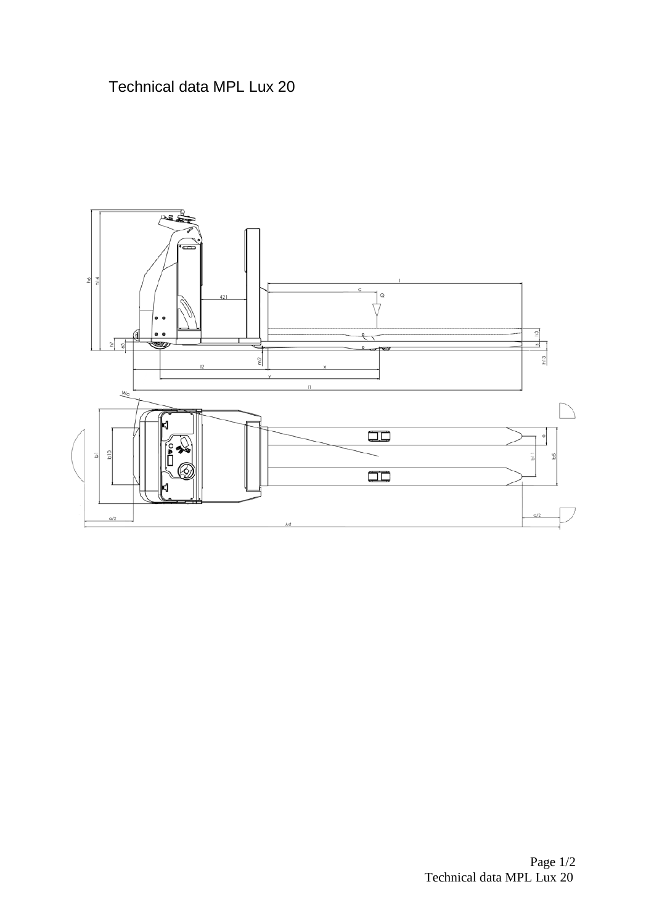## Technical data MPL Lux 20